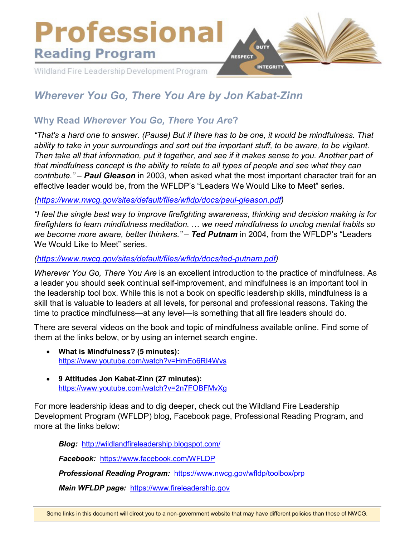

# *Wherever You Go, There You Are by Jon Kabat-Zinn*

## **Why Read** *Wherever You Go, There You Are***?**

*"That's a hard one to answer. (Pause) But if there has to be one, it would be mindfulness. That ability to take in your surroundings and sort out the important stuff, to be aware, to be vigilant. Then take all that information, put it together, and see if it makes sense to you. Another part of that mindfulness concept is the ability to relate to all types of people and see what they can contribute." – Paul Gleason* in 2003, when asked what the most important character trait for an effective leader would be, from the WFLDP's "Leaders We Would Like to Meet" series.

*[\(https://www.nwcg.gov/sites/default/files/wfldp/docs/paul-gleason.pdf\)](https://www.nwcg.gov/sites/default/files/wfldp/docs/paul-gleason.pdf)*

*"I feel the single best way to improve firefighting awareness, thinking and decision making is for firefighters to learn mindfulness meditation.* … *we need mindfulness to unclog mental habits so we become more aware, better thinkers." – Ted Putnam* in 2004, from the WFLDP's "Leaders We Would Like to Meet" series.

### *[\(https://www.nwcg.gov/sites/default/files/wfldp/docs/ted-putnam.pdf\)](https://www.nwcg.gov/sites/default/files/wfldp/docs/ted-putnam.pdf)*

*Wherever You Go, There You Are* is an excellent introduction to the practice of mindfulness. As a leader you should seek continual self-improvement, and mindfulness is an important tool in the leadership tool box. While this is not a book on specific leadership skills, mindfulness is a skill that is valuable to leaders at all levels, for personal and professional reasons. Taking the time to practice mindfulness—at any level—is something that all fire leaders should do.

There are several videos on the book and topic of mindfulness available online. Find some of them at the links below, or by using an internet search engine.

- **What is Mindfulness? (5 minutes):**  <https://www.youtube.com/watch?v=HmEo6RI4Wvs>
- **9 Attitudes Jon Kabat-Zinn (27 minutes):**  <https://www.youtube.com/watch?v=2n7FOBFMvXg>

For more leadership ideas and to dig deeper, check out the Wildland Fire Leadership Development Program (WFLDP) blog, Facebook page, Professional Reading Program, and more at the links below:

*Blog:* <http://wildlandfireleadership.blogspot.com/>

*Facebook:* <https://www.facebook.com/WFLDP>

*Professional Reading Program:* <https://www.nwcg.gov/wfldp/toolbox/prp>

*Main WFLDP page:* [https://www.fireleadership.gov](https://www.fireleadership.gov/)